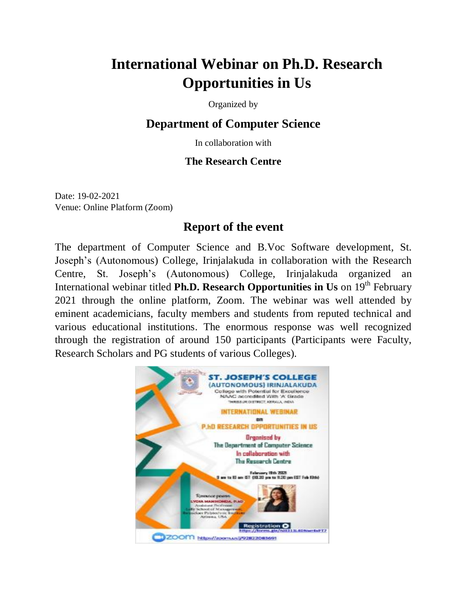## **International Webinar on Ph.D. Research Opportunities in Us**

Organized by

## **Department of Computer Science**

In collaboration with

## **The Research Centre**

Date: 19-02-2021 Venue: Online Platform (Zoom)

## **Report of the event**

The department of Computer Science and B.Voc Software development, St. Joseph's (Autonomous) College, Irinjalakuda in collaboration with the Research Centre, St. Joseph's (Autonomous) College, Irinjalakuda organized an International webinar titled **Ph.D. Research Opportunities in Us** on 19<sup>th</sup> February 2021 through the online platform, Zoom. The webinar was well attended by eminent academicians, faculty members and students from reputed technical and various educational institutions. The enormous response was well recognized through the registration of around 150 participants (Participants were Faculty, Research Scholars and PG students of various Colleges).